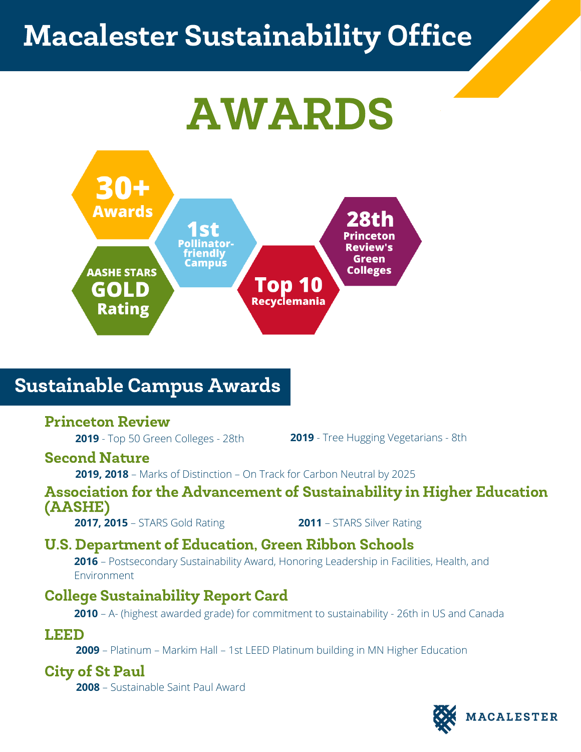## Macalester Sustainability Office

# AWARDS



## Sustainable Campus Awards

#### Princeton Review

**2019** - Top 50 Green Colleges - 28th

**2019** - Tree Hugging Vegetarians - 8th

#### Second Nature

**2019, 2018** – Marks of Distinction – On Track for Carbon Neutral by 2025

#### Association for the Advancement of Sustainability in Higher Education (AASHE)

**2017, 2015** – STARS Gold Rating

**2011** – STARS Silver Rating

### U.S. Department of Education, Green Ribbon Schools

**2016** – Postsecondary Sustainability Award, Honoring Leadership in Facilities, Health, and Environment

## College Sustainability Report Card

**2010** – A- (highest awarded grade) for commitment to sustainability - 26th in US and Canada

#### LEED

**2009** – Platinum – Markim Hall – 1st LEED Platinum building in MN Higher Education

#### City of St Paul

**2008** – Sustainable Saint Paul Award